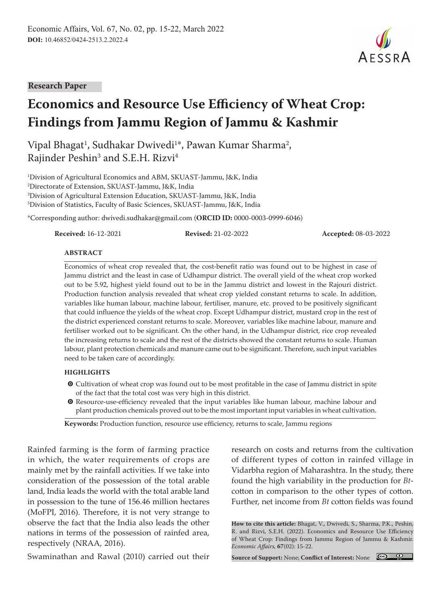#### **Research Paper**

# **Economics and Resource Use Efficiency of Wheat Crop: Findings from Jammu Region of Jammu & Kashmir**

Vipal Bhagat<sup>1</sup>, Sudhakar Dwivedi<sup>1</sup>\*, Pawan Kumar Sharma<sup>2</sup>, Rajinder Peshin<sup>3</sup> and S.E.H. Rizvi<sup>4</sup>

 Division of Agricultural Economics and ABM, SKUAST-Jammu, J&K, India Directorate of Extension, SKUAST-Jammu, J&K, India Division of Agricultural Extension Education, SKUAST-Jammu, J&K, India Division of Statistics, Faculty of Basic Sciences, SKUAST-Jammu, J&K, India

\*Corresponding author: dwivedi.sudhakar@gmail.com (**ORCID ID:** 0000-0003-0999-6046)

**Received:** 16-12-2021 **Revised:** 21-02-2022 **Accepted:** 08-03-2022

#### **ABSTRACT**

Economics of wheat crop revealed that, the cost-benefit ratio was found out to be highest in case of Jammu district and the least in case of Udhampur district. The overall yield of the wheat crop worked out to be 5.92, highest yield found out to be in the Jammu district and lowest in the Rajouri district. Production function analysis revealed that wheat crop yielded constant returns to scale. In addition, variables like human labour, machine labour, fertiliser, manure, etc. proved to be positively significant that could influence the yields of the wheat crop. Except Udhampur district, mustard crop in the rest of the district experienced constant returns to scale. Moreover, variables like machine labour, manure and fertiliser worked out to be significant. On the other hand, in the Udhampur district, rice crop revealed the increasing returns to scale and the rest of the districts showed the constant returns to scale. Human labour, plant protection chemicals and manure came out to be significant. Therefore, such input variables need to be taken care of accordingly.

#### **HIGHLIGHTS**

- **O** Cultivation of wheat crop was found out to be most profitable in the case of Jammu district in spite of the fact that the total cost was very high in this district.
- $\odot$  Resource-use-efficiency revealed that the input variables like human labour, machine labour and plant production chemicals proved out to be the most important input variables in wheat cultivation.

**Keywords:** Production function, resource use efficiency, returns to scale, Jammu regions

Rainfed farming is the form of farming practice in which, the water requirements of crops are mainly met by the rainfall activities. If we take into consideration of the possession of the total arable land, India leads the world with the total arable land in possession to the tune of 156.46 million hectares (MoFPI, 2016). Therefore, it is not very strange to observe the fact that the India also leads the other nations in terms of the possession of rainfed area, respectively (NRAA, 2016).

Swaminathan and Rawal (2010) carried out their

research on costs and returns from the cultivation of different types of cotton in rainfed village in Vidarbha region of Maharashtra. In the study, there found the high variability in the production for *Bt*cotton in comparison to the other types of cotton. Further, net income from *Bt* cotton fields was found

**How to cite this article:** Bhagat, V., Dwivedi, S., Sharma, P.K., Peshin, R. and Rizvi, S.E.H. (2022). Economics and Resource Use Efficiency of Wheat Crop: Findings from Jammu Region of Jammu & Kashmir. *Economic Affairs,* **67**(02): 15-22.

**Source of Support:** None; **Conflict of Interest:** None

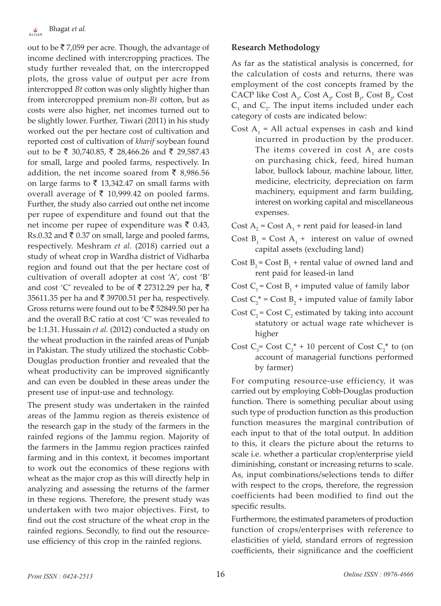out to be  $\bar{\mathfrak{c}}$  7,059 per acre. Though, the advantage of income declined with intercropping practices. The study further revealed that, on the intercropped plots, the gross value of output per acre from intercropped *Bt* cotton was only slightly higher than from intercropped premium non-*Bt* cotton, but as costs were also higher, net incomes turned out to be slightly lower. Further, Tiwari (2011) in his study worked out the per hectare cost of cultivation and reported cost of cultivation of *kharif* soybean found out to be ₹ 30,740.85, ₹ 28,466.26 and ₹ 29,587.43 for small, large and pooled farms, respectively. In addition, the net income soared from  $\bar{\bar{\xi}}$  8,986.56 on large farms to  $\bar{\tau}$  13,342.47 on small farms with overall average of  $\bar{\tau}$  10,999.42 on pooled farms. Further, the study also carried out onthe net income per rupee of expenditure and found out that the net income per rupee of expenditure was  $\bar{\tau}$  0.43, Rs.0.32 and  $\bar{\tau}$  0.37 on small, large and pooled farms, respectively. Meshram *et al.* (2018) carried out a study of wheat crop in Wardha district of Vidharba region and found out that the per hectare cost of cultivation of overall adopter at cost 'A', cost 'B' and cost 'C' revealed to be of ₹ 27312.29 per ha, ₹ 35611.35 per ha and  $\bar{\tau}$  39700.51 per ha, respectively. Gross returns were found out to be  $\bar{\tau}$  52849.50 per ha and the overall B:C ratio at cost 'C' was revealed to be 1:1.31. Hussain *et al.* (2012) conducted a study on the wheat production in the rainfed areas of Punjab in Pakistan. The study utilized the stochastic Cobb-Douglas production frontier and revealed that the wheat productivity can be improved significantly and can even be doubled in these areas under the present use of input-use and technology.

The present study was undertaken in the rainfed areas of the Jammu region as thereis existence of the research gap in the study of the farmers in the rainfed regions of the Jammu region. Majority of the farmers in the Jammu region practices rainfed farming and in this context, it becomes important to work out the economics of these regions with wheat as the major crop as this will directly help in analyzing and assessing the returns of the farmer in these regions. Therefore, the present study was undertaken with two major objectives. First, to find out the cost structure of the wheat crop in the rainfed regions. Secondly, to find out the resourceuse efficiency of this crop in the rainfed regions.

#### **Research Methodology**

As far as the statistical analysis is concerned, for the calculation of costs and returns, there was employment of the cost concepts framed by the CACP like Cost  $A_{1}$ , Cost  $A_{2}$ , Cost  $B_{1}$ , Cost  $B_{2}$ , Cost  $C_1$  and  $C_2$ . The input items included under each category of costs are indicated below:

- Cost  $A_1$  = All actual expenses in cash and kind incurred in production by the producer. The items covered in cost  $A_1$  are costs on purchasing chick, feed, hired human labor, bullock labour, machine labour, litter, medicine, electricity, depreciation on farm machinery, equipment and farm building, interest on working capital and miscellaneous expenses.
- Cost  $A_2$  = Cost  $A_1$  + rent paid for leased-in land
- Cost  $B_1$  = Cost  $A_1$  + interest on value of owned capital assets (excluding land)
- Cost  $B_2$  = Cost  $B_1$  + rental value of owned land and rent paid for leased-in land
- Cost  $C_1$  = Cost  $B_1$  + imputed value of family labor
- Cost  $C_2^*$  = Cost  $B_2$  + imputed value of family labor
- Cost  $C_2$  = Cost  $C_2$  estimated by taking into account statutory or actual wage rate whichever is higher
- Cost  $C_3$ = Cost  $C_2^*$  + 10 percent of Cost  $C_2^*$  to (on account of managerial functions performed by farmer)

For computing resource-use efficiency, it was carried out by employing Cobb-Douglas production function. There is something peculiar about using such type of production function as this production function measures the marginal contribution of each input to that of the total output. In addition to this, it clears the picture about the returns to scale i.e. whether a particular crop/enterprise yield diminishing, constant or increasing returns to scale. As, input combinations/selections tends to differ with respect to the crops, therefore, the regression coefficients had been modified to find out the specific results.

Furthermore, the estimated parameters of production function of crops/enterprises with reference to elasticities of yield, standard errors of regression coefficients, their significance and the coefficient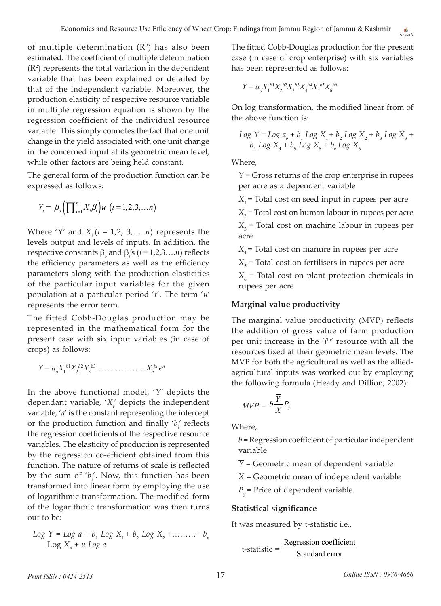of multiple determination  $(R^2)$  has also been estimated. The coefficient of multiple determination  $(R<sup>2</sup>)$  represents the total variation in the dependent variable that has been explained or detailed by that of the independent variable. Moreover, the production elasticity of respective resource variable in multiple regression equation is shown by the regression coefficient of the individual resource variable. This simply connotes the fact that one unit change in the yield associated with one unit change in the concerned input at its geometric mean level, while other factors are being held constant.

The general form of the production function can be expressed as follows:

$$
Y_{t} = \beta_{o} \left( \prod_{i=1}^{n} X_{i} \beta_{i} \right) u \ \left( i = 1, 2, 3, \ldots n \right)
$$

Where 'Y' and  $X_i$  ( $i = 1, 2, 3, \ldots, n$ ) represents the levels output and levels of inputs. In addition, the  $\text{respective constants } \beta_0 \text{ and } \beta_i' \text{ s } (i = 1, 2, 3, \ldots n) \text{ reflects }$ the efficiency parameters as well as the efficiency parameters along with the production elasticities of the particular input variables for the given population at a particular period '*t*'. The term '*u*' represents the error term.

The fitted Cobb-Douglas production may be represented in the mathematical form for the present case with six input variables (in case of crops) as follows:

$$
Y = a_o X_1^{b1} X_2^{b2} X_3^{b3} \dots \dots \dots \dots X_n^{b_n} e^n
$$

In the above functional model, '*Y*' depicts the dependant variable, '*Xi* ' depicts the independent variable, '*a*' is the constant representing the intercept or the production function and finally ' $b_i$ ' reflects the regression coefficients of the respective resource variables. The elasticity of production is represented by the regression co-efficient obtained from this function. The nature of returns of scale is reflected by the sum of 'b<sub>i</sub>'. Now, this function has been transformed into linear form by employing the use of logarithmic transformation. The modified form of the logarithmic transformation was then turns out to be:

$$
Log Y = Log a + b_1 Log X_1 + b_2 Log X_2 + \dots + b_n
$$
  

$$
Log X_n + u Log e
$$

The fitted Cobb-Douglas production for the present case (in case of crop enterprise) with six variables has been represented as follows:

$$
Y = a_o X_1^{b_1} X_2^{b_2} X_3^{b_3} X_4^{b_4} X_5^{b_5} X_6^{b_6}
$$

On log transformation, the modified linear from of the above function is:

$$
Log Y = Log ao + b1 Log X1 + b2 Log X2 + b3 Log X3 + b4 Log X4 + b5 Log X5 + b6 Log X6
$$

Where,

*Y* = Gross returns of the crop enterprise in rupees per acre as a dependent variable

 $X_1$  = Total cost on seed input in rupees per acre

*X*2 = Total cost on human labour in rupees per acre

*X*3 = Total cost on machine labour in rupees per acre

 $X_4$  = Total cost on manure in rupees per acre

X<sub>5</sub> = Total cost on fertilisers in rupees per acre

*X*6 = Total cost on plant protection chemicals in rupees per acre

## **Marginal value productivity**

The marginal value productivity (MVP) reflects the addition of gross value of farm production per unit increase in the '*i*<sup>th'</sup> resource with all the resources fixed at their geometric mean levels. The MVP for both the agricultural as well as the alliedagricultural inputs was worked out by employing the following formula (Heady and Dillion, 2002):

$$
MVP = b\frac{\overline{Y}}{\overline{X}}P_y
$$

Where,

*b* = Regression coefficient of particular independent variable

*Y* = Geometric mean of dependent variable

 $\overline{X}$  = Geometric mean of independent variable

*P <sup>y</sup>*= Price of dependent variable.

## **Statistical significance**

It was measured by t-statistic i.e.,

$$
t-statistic = \frac{Regression coefficient}{Standard error}
$$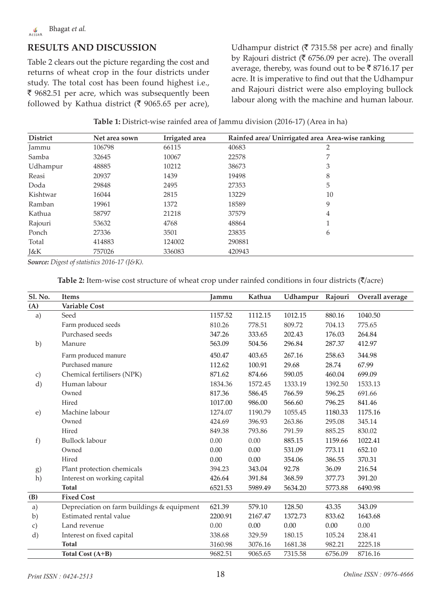# **RESULTS AND DISCUSSION**

Table 2 clears out the picture regarding the cost and returns of wheat crop in the four districts under study. The total cost has been found highest i.e.,  $\bar{\xi}$  9682.51 per acre, which was subsequently been followed by Kathua district ( $\bar{\phantom{1}}$  9065.65 per acre), Udhampur district ( $\bar{\tau}$  7315.58 per acre) and finally by Rajouri district ( $\bar{\mathfrak{c}}$  6756.09 per acre). The overall average, thereby, was found out to be  $\bar{\mathfrak{c}}$  8716.17 per acre. It is imperative to find out that the Udhampur and Rajouri district were also employing bullock labour along with the machine and human labour.

**Table 1:** District-wise rainfed area of Jammu division (2016-17) (Area in ha)

| <b>District</b> | Net area sown | Irrigated area | Rainfed area/ Unirrigated area Area-wise ranking |                |  |  |
|-----------------|---------------|----------------|--------------------------------------------------|----------------|--|--|
| Jammu           | 106798        | 66115          | 40683                                            | $\overline{2}$ |  |  |
| Samba           | 32645         | 10067          | 22578                                            | 7              |  |  |
| Udhampur        | 48885         | 10212          | 38673                                            | 3              |  |  |
| Reasi           | 20937         | 1439           | 19498                                            | 8              |  |  |
| Doda            | 29848         | 2495           | 27353                                            | 5              |  |  |
| Kishtwar        | 16044         | 2815           | 13229                                            | 10             |  |  |
| Ramban          | 19961         | 1372           | 18589                                            | 9              |  |  |
| Kathua          | 58797         | 21218          | 37579                                            | $\overline{4}$ |  |  |
| Rajouri         | 53632         | 4768           | 48864                                            | 1              |  |  |
| Ponch           | 27336         | 3501           | 23835                                            | 6              |  |  |
| Total           | 414883        | 124002         | 290881                                           |                |  |  |
| J&K             | 757026        | 336083         | 420943                                           |                |  |  |

*Source: Digest of statistics 2016-17 (J&K).*

| <b>Table 2:</b> Item-wise cost structure of wheat crop under rainfed conditions in four districts $(\bar{\zeta})$ acre) |  |  |
|-------------------------------------------------------------------------------------------------------------------------|--|--|
|                                                                                                                         |  |  |

| Sl. No. | <b>Items</b>                               | Jammu   | Kathua  | Udhampur | Rajouri | Overall average |
|---------|--------------------------------------------|---------|---------|----------|---------|-----------------|
| (A)     | <b>Variable Cost</b>                       |         |         |          |         |                 |
| a)      | Seed                                       | 1157.52 | 1112.15 | 1012.15  | 880.16  | 1040.50         |
|         | Farm produced seeds                        | 810.26  | 778.51  | 809.72   | 704.13  | 775.65          |
|         | Purchased seeds                            | 347.26  | 333.65  | 202.43   | 176.03  | 264.84          |
| b)      | Manure                                     | 563.09  | 504.56  | 296.84   | 287.37  | 412.97          |
|         | Farm produced manure                       | 450.47  | 403.65  | 267.16   | 258.63  | 344.98          |
|         | Purchased manure                           | 112.62  | 100.91  | 29.68    | 28.74   | 67.99           |
| c)      | Chemical fertilisers (NPK)                 | 871.62  | 874.66  | 590.05   | 460.04  | 699.09          |
| d)      | Human labour                               | 1834.36 | 1572.45 | 1333.19  | 1392.50 | 1533.13         |
|         | Owned                                      | 817.36  | 586.45  | 766.59   | 596.25  | 691.66          |
|         | Hired                                      | 1017.00 | 986.00  | 566.60   | 796.25  | 841.46          |
| e)      | Machine labour                             | 1274.07 | 1190.79 | 1055.45  | 1180.33 | 1175.16         |
|         | Owned                                      | 424.69  | 396.93  | 263.86   | 295.08  | 345.14          |
|         | Hired                                      | 849.38  | 793.86  | 791.59   | 885.25  | 830.02          |
| f)      | <b>Bullock labour</b>                      | 0.00    | 0.00    | 885.15   | 1159.66 | 1022.41         |
|         | Owned                                      | 0.00    | 0.00    | 531.09   | 773.11  | 652.10          |
|         | Hired                                      | 0.00    | 0.00    | 354.06   | 386.55  | 370.31          |
| g)      | Plant protection chemicals                 | 394.23  | 343.04  | 92.78    | 36.09   | 216.54          |
| h)      | Interest on working capital                | 426.64  | 391.84  | 368.59   | 377.73  | 391.20          |
|         | <b>Total</b>                               | 6521.53 | 5989.49 | 5634.20  | 5773.88 | 6490.98         |
| (B)     | <b>Fixed Cost</b>                          |         |         |          |         |                 |
| a)      | Depreciation on farm buildings & equipment | 621.39  | 579.10  | 128.50   | 43.35   | 343.09          |
| b)      | Estimated rental value                     | 2200.91 | 2167.47 | 1372.73  | 833.62  | 1643.68         |
| c)      | Land revenue                               | 0.00    | 0.00    | 0.00     | 0.00    | 0.00            |
| d)      | Interest on fixed capital                  | 338.68  | 329.59  | 180.15   | 105.24  | 238.41          |
|         | <b>Total</b>                               | 3160.98 | 3076.16 | 1681.38  | 982.21  | 2225.18         |
|         | Total Cost (A+B)                           | 9682.51 | 9065.65 | 7315.58  | 6756.09 | 8716.16         |
|         |                                            |         |         |          |         |                 |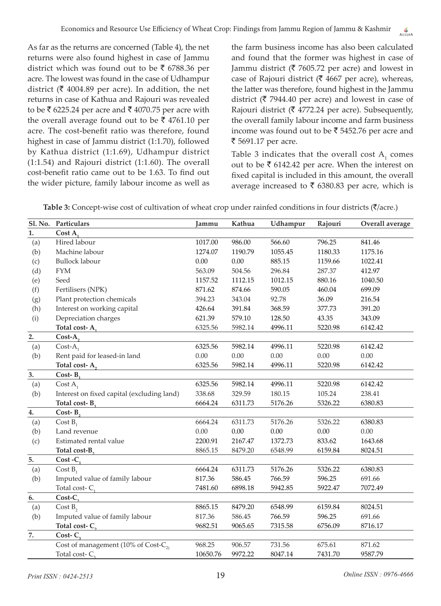As far as the returns are concerned (Table 4), the net returns were also found highest in case of Jammu district which was found out to be  $\bar{\tau}$  6788.36 per acre. The lowest was found in the case of Udhampur district ( $\bar{\tau}$  4004.89 per acre). In addition, the net returns in case of Kathua and Rajouri was revealed to be  $\bar{\mathfrak{c}}$  6225.24 per acre and  $\bar{\mathfrak{c}}$  4070.75 per acre with the overall average found out to be  $\bar{\tau}$  4761.10 per acre. The cost-benefit ratio was therefore, found highest in case of Jammu district (1:1.70), followed by Kathua district (1:1.69), Udhampur district (1:1.54) and Rajouri district (1:1.60). The overall cost-benefit ratio came out to be 1.63. To find out the wider picture, family labour income as well as

the farm business income has also been calculated and found that the former was highest in case of Jammu district ( $\bar{\tau}$  7605.72 per acre) and lowest in case of Rajouri district ( $\bar{\mathfrak{c}}$  4667 per acre), whereas, the latter was therefore, found highest in the Jammu district ( $\bar{\tau}$  7944.40 per acre) and lowest in case of Rajouri district ( $\bar{\tau}$  4772.24 per acre). Subsequently, the overall family labour income and farm business income was found out to be  $\bar{\tau}$  5452.76 per acre and ₹ 5691.17 per acre.

Table 3 indicates that the overall cost  $A_1$  comes out to be  $\bar{\tau}$  6142.42 per acre. When the interest on fixed capital is included in this amount, the overall average increased to  $\bar{\tau}$  6380.83 per acre, which is

| Table 3: Concept-wise cost of cultivation of wheat crop under rainfed conditions in four districts ( $\bar{\zeta}$ /acre.) |  |
|----------------------------------------------------------------------------------------------------------------------------|--|
|----------------------------------------------------------------------------------------------------------------------------|--|

| Cost $A_1$<br>1.<br>Hired labour<br>1017.00<br>986.00<br>566.60<br>796.25<br>(a)<br>841.46<br>Machine labour<br>1274.07<br>1190.79<br>(b)<br>1055.45<br>1180.33<br>1175.16<br><b>Bullock labour</b><br>0.00<br>0.00<br>885.15<br>1159.66<br>1022.41<br>(c)<br><b>FYM</b><br>563.09<br>504.56<br>296.84<br>287.37<br>412.97<br>(d)<br>(e)<br>Seed<br>1157.52<br>1112.15<br>1012.15<br>880.16<br>1040.50<br>(f)<br>Fertilisers (NPK)<br>871.62<br>874.66<br>590.05<br>460.04<br>699.09<br>Plant protection chemicals<br>394.23<br>343.04<br>92.78<br>36.09<br>(g)<br>216.54<br>Interest on working capital<br>(h)<br>426.64<br>391.84<br>368.59<br>377.73<br>391.20<br>Depreciation charges<br>621.39<br>579.10<br>128.50<br>43.35<br>343.09<br>(i)<br>Total cost- $A_1$<br>6325.56<br>5982.14<br>4996.11<br>5220.98<br>6142.42<br>2.<br>Cost-A,<br>6325.56<br>(a)<br>5982.14<br>4996.11<br>5220.98<br>6142.42<br>$Cost-A$ <sub>1</sub><br>Rent paid for leased-in land<br>0.00<br>(b)<br>0.00<br>0.00<br>0.00<br>0.00<br>Total cost- $A_2$<br>6325.56<br>5982.14<br>4996.11<br>5220.98<br>6142.42<br>3.<br>Cost- $B_1$<br><u> 1980 - Johann Barbara, martxa alemaniar a</u><br>6325.56<br>5982.14<br>5220.98<br>(a)<br>$Cost A_1$<br>4996.11<br>6142.42<br>Interest on fixed capital (excluding land)<br>338.68<br>238.41<br>(b)<br>329.59<br>180.15<br>105.24<br>6664.24<br>6380.83<br>6311.73<br>5176.26<br>5326.22<br>$Cost-B$ ,<br>4.<br>(a)<br>6664.24<br>6311.73<br>6380.83<br>$Cost B_1$<br>5176.26<br>5326.22<br>0.00<br>0.00<br>0.00<br>0.00<br>(b)<br>Land revenue<br>0.00<br>2200.91<br>2167.47<br>833.62<br>(c)<br>Estimated rental value<br>1372.73<br>1643.68<br>8865.15<br>8024.51<br>Total cost-B,<br>8479.20<br>6548.99<br>6159.84<br>5.<br>$Cost - C_1$<br>6664.24<br>(a)<br>$Cost B_1$<br>6311.73<br>5176.26<br>5326.22<br>6380.83<br>Imputed value of family labour<br>817.36<br>(b)<br>586.45<br>766.59<br>691.66<br>596.25<br>Total cost- $C_1$<br>7481.60<br>6898.18<br>7072.49<br>5942.85<br>5922.47<br>$Cost-C$ ,<br>6.<br>8865.15<br>8024.51<br>(a)<br>Cost B <sub>2</sub><br>8479.20<br>6548.99<br>6159.84<br>Imputed value of family labour<br>(b)<br>817.36<br>586.45<br>766.59<br>596.25<br>691.66<br>Total cost-C <sub>2</sub><br>9682.51<br>9065.65<br>8716.17<br>7315.58<br>6756.09<br><u> 1990 - Jan Barnett, francuski politik (</u><br>$Cost-C$ ,<br>7.<br>Cost of management (10% of Cost- $C_2$ )<br>968.25<br>906.57<br>731.56<br>675.61<br>871.62 | Sl. No. Particulars       | Jammu    | Kathua  | Udhampur | Rajouri | Overall average |
|------------------------------------------------------------------------------------------------------------------------------------------------------------------------------------------------------------------------------------------------------------------------------------------------------------------------------------------------------------------------------------------------------------------------------------------------------------------------------------------------------------------------------------------------------------------------------------------------------------------------------------------------------------------------------------------------------------------------------------------------------------------------------------------------------------------------------------------------------------------------------------------------------------------------------------------------------------------------------------------------------------------------------------------------------------------------------------------------------------------------------------------------------------------------------------------------------------------------------------------------------------------------------------------------------------------------------------------------------------------------------------------------------------------------------------------------------------------------------------------------------------------------------------------------------------------------------------------------------------------------------------------------------------------------------------------------------------------------------------------------------------------------------------------------------------------------------------------------------------------------------------------------------------------------------------------------------------------------------------------------------------------------------------------------------------------------------------------------------------------------------------------------------------------------------------------------------------------------------------------------------------------------------------------------------------------------------------------------------------------------------------------------------------------------------------------------------------------------------------------|---------------------------|----------|---------|----------|---------|-----------------|
|                                                                                                                                                                                                                                                                                                                                                                                                                                                                                                                                                                                                                                                                                                                                                                                                                                                                                                                                                                                                                                                                                                                                                                                                                                                                                                                                                                                                                                                                                                                                                                                                                                                                                                                                                                                                                                                                                                                                                                                                                                                                                                                                                                                                                                                                                                                                                                                                                                                                                          |                           |          |         |          |         |                 |
|                                                                                                                                                                                                                                                                                                                                                                                                                                                                                                                                                                                                                                                                                                                                                                                                                                                                                                                                                                                                                                                                                                                                                                                                                                                                                                                                                                                                                                                                                                                                                                                                                                                                                                                                                                                                                                                                                                                                                                                                                                                                                                                                                                                                                                                                                                                                                                                                                                                                                          |                           |          |         |          |         |                 |
|                                                                                                                                                                                                                                                                                                                                                                                                                                                                                                                                                                                                                                                                                                                                                                                                                                                                                                                                                                                                                                                                                                                                                                                                                                                                                                                                                                                                                                                                                                                                                                                                                                                                                                                                                                                                                                                                                                                                                                                                                                                                                                                                                                                                                                                                                                                                                                                                                                                                                          |                           |          |         |          |         |                 |
|                                                                                                                                                                                                                                                                                                                                                                                                                                                                                                                                                                                                                                                                                                                                                                                                                                                                                                                                                                                                                                                                                                                                                                                                                                                                                                                                                                                                                                                                                                                                                                                                                                                                                                                                                                                                                                                                                                                                                                                                                                                                                                                                                                                                                                                                                                                                                                                                                                                                                          |                           |          |         |          |         |                 |
|                                                                                                                                                                                                                                                                                                                                                                                                                                                                                                                                                                                                                                                                                                                                                                                                                                                                                                                                                                                                                                                                                                                                                                                                                                                                                                                                                                                                                                                                                                                                                                                                                                                                                                                                                                                                                                                                                                                                                                                                                                                                                                                                                                                                                                                                                                                                                                                                                                                                                          |                           |          |         |          |         |                 |
|                                                                                                                                                                                                                                                                                                                                                                                                                                                                                                                                                                                                                                                                                                                                                                                                                                                                                                                                                                                                                                                                                                                                                                                                                                                                                                                                                                                                                                                                                                                                                                                                                                                                                                                                                                                                                                                                                                                                                                                                                                                                                                                                                                                                                                                                                                                                                                                                                                                                                          |                           |          |         |          |         |                 |
|                                                                                                                                                                                                                                                                                                                                                                                                                                                                                                                                                                                                                                                                                                                                                                                                                                                                                                                                                                                                                                                                                                                                                                                                                                                                                                                                                                                                                                                                                                                                                                                                                                                                                                                                                                                                                                                                                                                                                                                                                                                                                                                                                                                                                                                                                                                                                                                                                                                                                          |                           |          |         |          |         |                 |
|                                                                                                                                                                                                                                                                                                                                                                                                                                                                                                                                                                                                                                                                                                                                                                                                                                                                                                                                                                                                                                                                                                                                                                                                                                                                                                                                                                                                                                                                                                                                                                                                                                                                                                                                                                                                                                                                                                                                                                                                                                                                                                                                                                                                                                                                                                                                                                                                                                                                                          |                           |          |         |          |         |                 |
|                                                                                                                                                                                                                                                                                                                                                                                                                                                                                                                                                                                                                                                                                                                                                                                                                                                                                                                                                                                                                                                                                                                                                                                                                                                                                                                                                                                                                                                                                                                                                                                                                                                                                                                                                                                                                                                                                                                                                                                                                                                                                                                                                                                                                                                                                                                                                                                                                                                                                          |                           |          |         |          |         |                 |
|                                                                                                                                                                                                                                                                                                                                                                                                                                                                                                                                                                                                                                                                                                                                                                                                                                                                                                                                                                                                                                                                                                                                                                                                                                                                                                                                                                                                                                                                                                                                                                                                                                                                                                                                                                                                                                                                                                                                                                                                                                                                                                                                                                                                                                                                                                                                                                                                                                                                                          |                           |          |         |          |         |                 |
|                                                                                                                                                                                                                                                                                                                                                                                                                                                                                                                                                                                                                                                                                                                                                                                                                                                                                                                                                                                                                                                                                                                                                                                                                                                                                                                                                                                                                                                                                                                                                                                                                                                                                                                                                                                                                                                                                                                                                                                                                                                                                                                                                                                                                                                                                                                                                                                                                                                                                          |                           |          |         |          |         |                 |
|                                                                                                                                                                                                                                                                                                                                                                                                                                                                                                                                                                                                                                                                                                                                                                                                                                                                                                                                                                                                                                                                                                                                                                                                                                                                                                                                                                                                                                                                                                                                                                                                                                                                                                                                                                                                                                                                                                                                                                                                                                                                                                                                                                                                                                                                                                                                                                                                                                                                                          |                           |          |         |          |         |                 |
|                                                                                                                                                                                                                                                                                                                                                                                                                                                                                                                                                                                                                                                                                                                                                                                                                                                                                                                                                                                                                                                                                                                                                                                                                                                                                                                                                                                                                                                                                                                                                                                                                                                                                                                                                                                                                                                                                                                                                                                                                                                                                                                                                                                                                                                                                                                                                                                                                                                                                          |                           |          |         |          |         |                 |
|                                                                                                                                                                                                                                                                                                                                                                                                                                                                                                                                                                                                                                                                                                                                                                                                                                                                                                                                                                                                                                                                                                                                                                                                                                                                                                                                                                                                                                                                                                                                                                                                                                                                                                                                                                                                                                                                                                                                                                                                                                                                                                                                                                                                                                                                                                                                                                                                                                                                                          |                           |          |         |          |         |                 |
|                                                                                                                                                                                                                                                                                                                                                                                                                                                                                                                                                                                                                                                                                                                                                                                                                                                                                                                                                                                                                                                                                                                                                                                                                                                                                                                                                                                                                                                                                                                                                                                                                                                                                                                                                                                                                                                                                                                                                                                                                                                                                                                                                                                                                                                                                                                                                                                                                                                                                          |                           |          |         |          |         |                 |
|                                                                                                                                                                                                                                                                                                                                                                                                                                                                                                                                                                                                                                                                                                                                                                                                                                                                                                                                                                                                                                                                                                                                                                                                                                                                                                                                                                                                                                                                                                                                                                                                                                                                                                                                                                                                                                                                                                                                                                                                                                                                                                                                                                                                                                                                                                                                                                                                                                                                                          |                           |          |         |          |         |                 |
|                                                                                                                                                                                                                                                                                                                                                                                                                                                                                                                                                                                                                                                                                                                                                                                                                                                                                                                                                                                                                                                                                                                                                                                                                                                                                                                                                                                                                                                                                                                                                                                                                                                                                                                                                                                                                                                                                                                                                                                                                                                                                                                                                                                                                                                                                                                                                                                                                                                                                          |                           |          |         |          |         |                 |
|                                                                                                                                                                                                                                                                                                                                                                                                                                                                                                                                                                                                                                                                                                                                                                                                                                                                                                                                                                                                                                                                                                                                                                                                                                                                                                                                                                                                                                                                                                                                                                                                                                                                                                                                                                                                                                                                                                                                                                                                                                                                                                                                                                                                                                                                                                                                                                                                                                                                                          |                           |          |         |          |         |                 |
|                                                                                                                                                                                                                                                                                                                                                                                                                                                                                                                                                                                                                                                                                                                                                                                                                                                                                                                                                                                                                                                                                                                                                                                                                                                                                                                                                                                                                                                                                                                                                                                                                                                                                                                                                                                                                                                                                                                                                                                                                                                                                                                                                                                                                                                                                                                                                                                                                                                                                          |                           |          |         |          |         |                 |
|                                                                                                                                                                                                                                                                                                                                                                                                                                                                                                                                                                                                                                                                                                                                                                                                                                                                                                                                                                                                                                                                                                                                                                                                                                                                                                                                                                                                                                                                                                                                                                                                                                                                                                                                                                                                                                                                                                                                                                                                                                                                                                                                                                                                                                                                                                                                                                                                                                                                                          |                           |          |         |          |         |                 |
|                                                                                                                                                                                                                                                                                                                                                                                                                                                                                                                                                                                                                                                                                                                                                                                                                                                                                                                                                                                                                                                                                                                                                                                                                                                                                                                                                                                                                                                                                                                                                                                                                                                                                                                                                                                                                                                                                                                                                                                                                                                                                                                                                                                                                                                                                                                                                                                                                                                                                          |                           |          |         |          |         |                 |
|                                                                                                                                                                                                                                                                                                                                                                                                                                                                                                                                                                                                                                                                                                                                                                                                                                                                                                                                                                                                                                                                                                                                                                                                                                                                                                                                                                                                                                                                                                                                                                                                                                                                                                                                                                                                                                                                                                                                                                                                                                                                                                                                                                                                                                                                                                                                                                                                                                                                                          |                           |          |         |          |         |                 |
|                                                                                                                                                                                                                                                                                                                                                                                                                                                                                                                                                                                                                                                                                                                                                                                                                                                                                                                                                                                                                                                                                                                                                                                                                                                                                                                                                                                                                                                                                                                                                                                                                                                                                                                                                                                                                                                                                                                                                                                                                                                                                                                                                                                                                                                                                                                                                                                                                                                                                          |                           |          |         |          |         |                 |
|                                                                                                                                                                                                                                                                                                                                                                                                                                                                                                                                                                                                                                                                                                                                                                                                                                                                                                                                                                                                                                                                                                                                                                                                                                                                                                                                                                                                                                                                                                                                                                                                                                                                                                                                                                                                                                                                                                                                                                                                                                                                                                                                                                                                                                                                                                                                                                                                                                                                                          |                           |          |         |          |         |                 |
|                                                                                                                                                                                                                                                                                                                                                                                                                                                                                                                                                                                                                                                                                                                                                                                                                                                                                                                                                                                                                                                                                                                                                                                                                                                                                                                                                                                                                                                                                                                                                                                                                                                                                                                                                                                                                                                                                                                                                                                                                                                                                                                                                                                                                                                                                                                                                                                                                                                                                          |                           |          |         |          |         |                 |
|                                                                                                                                                                                                                                                                                                                                                                                                                                                                                                                                                                                                                                                                                                                                                                                                                                                                                                                                                                                                                                                                                                                                                                                                                                                                                                                                                                                                                                                                                                                                                                                                                                                                                                                                                                                                                                                                                                                                                                                                                                                                                                                                                                                                                                                                                                                                                                                                                                                                                          |                           |          |         |          |         |                 |
|                                                                                                                                                                                                                                                                                                                                                                                                                                                                                                                                                                                                                                                                                                                                                                                                                                                                                                                                                                                                                                                                                                                                                                                                                                                                                                                                                                                                                                                                                                                                                                                                                                                                                                                                                                                                                                                                                                                                                                                                                                                                                                                                                                                                                                                                                                                                                                                                                                                                                          |                           |          |         |          |         |                 |
|                                                                                                                                                                                                                                                                                                                                                                                                                                                                                                                                                                                                                                                                                                                                                                                                                                                                                                                                                                                                                                                                                                                                                                                                                                                                                                                                                                                                                                                                                                                                                                                                                                                                                                                                                                                                                                                                                                                                                                                                                                                                                                                                                                                                                                                                                                                                                                                                                                                                                          |                           |          |         |          |         |                 |
|                                                                                                                                                                                                                                                                                                                                                                                                                                                                                                                                                                                                                                                                                                                                                                                                                                                                                                                                                                                                                                                                                                                                                                                                                                                                                                                                                                                                                                                                                                                                                                                                                                                                                                                                                                                                                                                                                                                                                                                                                                                                                                                                                                                                                                                                                                                                                                                                                                                                                          |                           |          |         |          |         |                 |
|                                                                                                                                                                                                                                                                                                                                                                                                                                                                                                                                                                                                                                                                                                                                                                                                                                                                                                                                                                                                                                                                                                                                                                                                                                                                                                                                                                                                                                                                                                                                                                                                                                                                                                                                                                                                                                                                                                                                                                                                                                                                                                                                                                                                                                                                                                                                                                                                                                                                                          |                           |          |         |          |         |                 |
|                                                                                                                                                                                                                                                                                                                                                                                                                                                                                                                                                                                                                                                                                                                                                                                                                                                                                                                                                                                                                                                                                                                                                                                                                                                                                                                                                                                                                                                                                                                                                                                                                                                                                                                                                                                                                                                                                                                                                                                                                                                                                                                                                                                                                                                                                                                                                                                                                                                                                          |                           |          |         |          |         |                 |
|                                                                                                                                                                                                                                                                                                                                                                                                                                                                                                                                                                                                                                                                                                                                                                                                                                                                                                                                                                                                                                                                                                                                                                                                                                                                                                                                                                                                                                                                                                                                                                                                                                                                                                                                                                                                                                                                                                                                                                                                                                                                                                                                                                                                                                                                                                                                                                                                                                                                                          |                           |          |         |          |         |                 |
|                                                                                                                                                                                                                                                                                                                                                                                                                                                                                                                                                                                                                                                                                                                                                                                                                                                                                                                                                                                                                                                                                                                                                                                                                                                                                                                                                                                                                                                                                                                                                                                                                                                                                                                                                                                                                                                                                                                                                                                                                                                                                                                                                                                                                                                                                                                                                                                                                                                                                          |                           |          |         |          |         |                 |
|                                                                                                                                                                                                                                                                                                                                                                                                                                                                                                                                                                                                                                                                                                                                                                                                                                                                                                                                                                                                                                                                                                                                                                                                                                                                                                                                                                                                                                                                                                                                                                                                                                                                                                                                                                                                                                                                                                                                                                                                                                                                                                                                                                                                                                                                                                                                                                                                                                                                                          |                           |          |         |          |         |                 |
|                                                                                                                                                                                                                                                                                                                                                                                                                                                                                                                                                                                                                                                                                                                                                                                                                                                                                                                                                                                                                                                                                                                                                                                                                                                                                                                                                                                                                                                                                                                                                                                                                                                                                                                                                                                                                                                                                                                                                                                                                                                                                                                                                                                                                                                                                                                                                                                                                                                                                          | Total cost-C <sub>2</sub> | 10650.76 | 9972.22 | 8047.14  | 7431.70 | 9587.79         |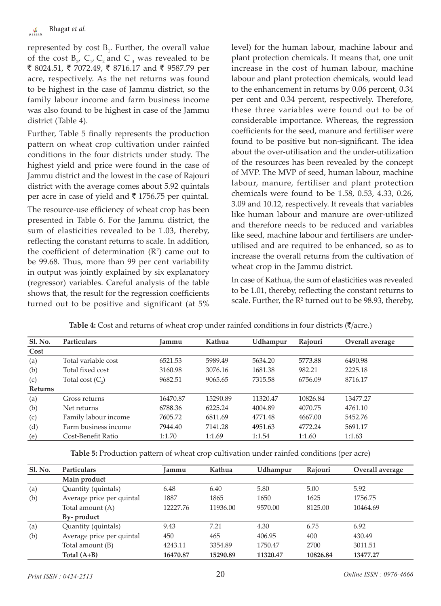represented by  $cost B_1$ . Further, the overall value of the cost  $B_{2'} C_{1'} C_2$  and  $C_3$  was revealed to be ₹ 8024.51, ₹ 7072.49, ₹ 8716.17 and ₹ 9587.79 per acre, respectively. As the net returns was found to be highest in the case of Jammu district, so the family labour income and farm business income was also found to be highest in case of the Jammu district (Table 4).

Further, Table 5 finally represents the production pattern on wheat crop cultivation under rainfed conditions in the four districts under study. The highest yield and price were found in the case of Jammu district and the lowest in the case of Rajouri district with the average comes about 5.92 quintals per acre in case of yield and  $\bar{\tau}$  1756.75 per quintal.

The resource-use efficiency of wheat crop has been presented in Table 6. For the Jammu district, the sum of elasticities revealed to be 1.03, thereby, reflecting the constant returns to scale. In addition, the coefficient of determination  $(R^2)$  came out to be 99.68. Thus, more than 99 per cent variability in output was jointly explained by six explanatory (regressor) variables. Careful analysis of the table shows that, the result for the regression coefficients turned out to be positive and significant (at 5%

level) for the human labour, machine labour and plant protection chemicals. It means that, one unit increase in the cost of human labour, machine labour and plant protection chemicals, would lead to the enhancement in returns by 0.06 percent, 0.34 per cent and 0.34 percent, respectively. Therefore, these three variables were found out to be of considerable importance. Whereas, the regression coefficients for the seed, manure and fertiliser were found to be positive but non-significant. The idea about the over-utilisation and the under-utilization of the resources has been revealed by the concept of MVP. The MVP of seed, human labour, machine labour, manure, fertiliser and plant protection chemicals were found to be 1.58, 0.53, 4.33, 0.26, 3.09 and 10.12, respectively. It reveals that variables like human labour and manure are over-utilized and therefore needs to be reduced and variables like seed, machine labour and fertilisers are underutilised and are required to be enhanced, so as to increase the overall returns from the cultivation of wheat crop in the Jammu district.

In case of Kathua, the sum of elasticities was revealed to be 1.01, thereby, reflecting the constant returns to scale. Further, the  $R<sup>2</sup>$  turned out to be 98.93, thereby,

| <b>Sl. No.</b> | <b>Particulars</b>        | Jammu    | Kathua   | Udhampur | Rajouri  | Overall average |
|----------------|---------------------------|----------|----------|----------|----------|-----------------|
| Cost           |                           |          |          |          |          |                 |
| (a)            | Total variable cost       | 6521.53  | 5989.49  | 5634.20  | 5773.88  | 6490.98         |
| (b)            | Total fixed cost          | 3160.98  | 3076.16  | 1681.38  | 982.21   | 2225.18         |
| (c)            | Total cost $(C_{\alpha})$ | 9682.51  | 9065.65  | 7315.58  | 6756.09  | 8716.17         |
| <b>Returns</b> |                           |          |          |          |          |                 |
| (a)            | Gross returns             | 16470.87 | 15290.89 | 11320.47 | 10826.84 | 13477.27        |
| (b)            | Net returns               | 6788.36  | 6225.24  | 4004.89  | 4070.75  | 4761.10         |
| (c)            | Family labour income      | 7605.72  | 6811.69  | 4771.48  | 4667.00  | 5452.76         |
| (d)            | Farm business income      | 7944.40  | 7141.28  | 4951.63  | 4772.24  | 5691.17         |
| (e)            | Cost-Benefit Ratio        | 1:1.70   | 1:1.69   | 1:1.54   | 1:1.60   | 1:1.63          |

**Table 4:** Cost and returns of wheat crop under rainfed conditions in four districts ( $\bar{\tau}/$ acre.)

**Table 5:** Production pattern of wheat crop cultivation under rainfed conditions (per acre)

| Sl. No. | <b>Particulars</b>        | Jammu    | Kathua   | Udhampur | Rajouri  | Overall average |
|---------|---------------------------|----------|----------|----------|----------|-----------------|
|         | Main product              |          |          |          |          |                 |
| (a)     | Quantity (quintals)       | 6.48     | 6.40     | 5.80     | 5.00     | 5.92            |
| (b)     | Average price per quintal | 1887     | 1865     | 1650     | 1625     | 1756.75         |
|         | Total amount (A)          | 12227.76 | 11936.00 | 9570.00  | 8125.00  | 10464.69        |
|         | By-product                |          |          |          |          |                 |
| (a)     | Quantity (quintals)       | 9.43     | 7.21     | 4.30     | 6.75     | 6.92            |
| (b)     | Average price per quintal | 450      | 465      | 406.95   | 400      | 430.49          |
|         | Total amount (B)          | 4243.11  | 3354.89  | 1750.47  | 2700     | 3011.51         |
|         | Total $(A+B)$             | 16470.87 | 15290.89 | 11320.47 | 10826.84 | 13477.27        |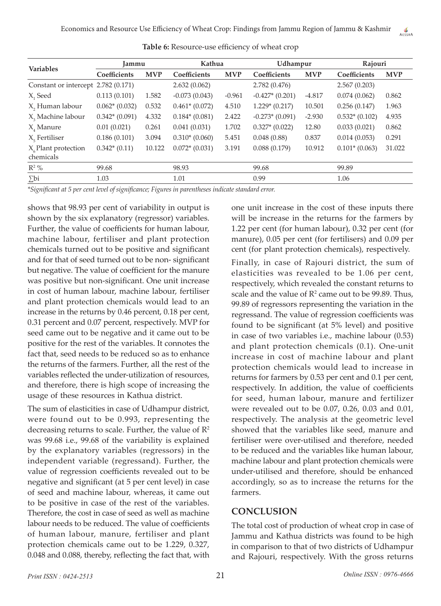| <b>Variables</b>                             | Jammu           |            | Kathua          |            | Udhampur         |            | Rajouri         |            |
|----------------------------------------------|-----------------|------------|-----------------|------------|------------------|------------|-----------------|------------|
|                                              | Coefficients    | <b>MVP</b> | Coefficients    | <b>MVP</b> | Coefficients     | <b>MVP</b> | Coefficients    | <b>MVP</b> |
| Constant or intercept 2.782 (0.171)          |                 |            | 2.632(0.062)    |            | 2.782 (0.476)    |            | 2.567(0.203)    |            |
| X <sub>1</sub> Seed                          | 0.113(0.101)    | 1.582      | $-0.073(0.043)$ | $-0.961$   | $-0.427*(0.201)$ | $-4.817$   | 0.074(0.062)    | 0.862      |
| X <sub>2</sub> Human labour                  | $0.062*(0.032)$ | 0.532      | $0.461*(0.072)$ | 4.510      | $1.229*(0.217)$  | 10.501     | 0.256(0.147)    | 1.963      |
| X, Machine labour                            | $0.342*(0.091)$ | 4.332      | $0.184*(0.081)$ | 2.422      | $-0.273*(0.091)$ | $-2.930$   | $0.532*(0.102)$ | 4.935      |
| $X$ , Manure                                 | 0.01(0.021)     | 0.261      | 0.041(0.031)    | 1.702      | $0.327*(0.022)$  | 12.80      | 0.033(0.021)    | 0.862      |
| $X_{e}$ Fertiliser                           | 0.186(0.101)    | 3.094      | $0.310*(0.060)$ | 5.451      | 0.048(0.88)      | 0.837      | 0.014(0.053)    | 0.291      |
| $X_{\epsilon}$ Plant protection<br>chemicals | $0.342*(0.11)$  | 10.122     | $0.072*(0.031)$ | 3.191      | 0.088(0.179)     | 10.912     | $0.101*(0.063)$ | 31.022     |
| $R^2$ %                                      | 99.68           |            | 98.93           |            | 99.68            |            | 99.89           |            |
| $\sum$ bi                                    | 1.03            |            | 1.01            |            | 0.99             |            | 1.06            |            |

**Table 6:** Resource-use efficiency of wheat crop

*\*Significant at 5 per cent level of significance; Figures in parentheses indicate standard error.*

shows that 98.93 per cent of variability in output is shown by the six explanatory (regressor) variables. Further, the value of coefficients for human labour, machine labour, fertiliser and plant protection chemicals turned out to be positive and significant and for that of seed turned out to be non- significant but negative. The value of coefficient for the manure was positive but non-significant. One unit increase in cost of human labour, machine labour, fertiliser and plant protection chemicals would lead to an increase in the returns by 0.46 percent, 0.18 per cent, 0.31 percent and 0.07 percent, respectively. MVP for seed came out to be negative and it came out to be positive for the rest of the variables. It connotes the fact that, seed needs to be reduced so as to enhance the returns of the farmers. Further, all the rest of the variables reflected the under-utilization of resources, and therefore, there is high scope of increasing the usage of these resources in Kathua district.

The sum of elasticities in case of Udhampur district, were found out to be 0.993, representing the decreasing returns to scale. Further, the value of  $\mathbb{R}^2$ was 99.68 i.e., 99.68 of the variability is explained by the explanatory variables (regressors) in the independent variable (regressand). Further, the value of regression coefficients revealed out to be negative and significant (at 5 per cent level) in case of seed and machine labour, whereas, it came out to be positive in case of the rest of the variables. Therefore, the cost in case of seed as well as machine labour needs to be reduced. The value of coefficients of human labour, manure, fertiliser and plant protection chemicals came out to be 1.229, 0.327, 0.048 and 0.088, thereby, reflecting the fact that, with

one unit increase in the cost of these inputs there will be increase in the returns for the farmers by 1.22 per cent (for human labour), 0.32 per cent (for manure), 0.05 per cent (for fertilisers) and 0.09 per cent (for plant protection chemicals), respectively.

Finally, in case of Rajouri district, the sum of elasticities was revealed to be 1.06 per cent, respectively, which revealed the constant returns to scale and the value of  $\mathbb{R}^2$  came out to be 99.89. Thus, 99.89 of regressors representing the variation in the regressand. The value of regression coefficients was found to be significant (at 5% level) and positive in case of two variables i.e., machine labour (0.53) and plant protection chemicals (0.1). One-unit increase in cost of machine labour and plant protection chemicals would lead to increase in returns for farmers by 0.53 per cent and 0.1 per cent, respectively. In addition, the value of coefficients for seed, human labour, manure and fertilizer were revealed out to be 0.07, 0.26, 0.03 and 0.01, respectively. The analysis at the geometric level showed that the variables like seed, manure and fertiliser were over-utilised and therefore, needed to be reduced and the variables like human labour, machine labour and plant protection chemicals were under-utilised and therefore, should be enhanced accordingly, so as to increase the returns for the farmers.

# **CONCLUSION**

The total cost of production of wheat crop in case of Jammu and Kathua districts was found to be high in comparison to that of two districts of Udhampur and Rajouri, respectively. With the gross returns